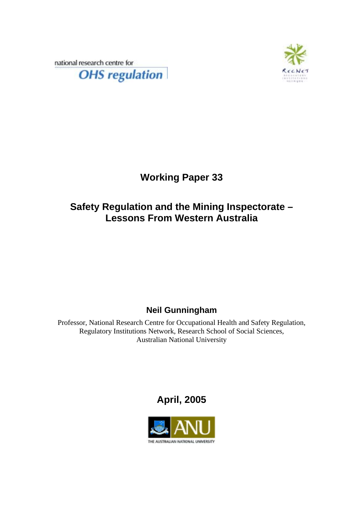national research centre for **OHS** regulation



# **Working Paper 33**

## **Safety Regulation and the Mining Inspectorate – Lessons From Western Australia**

## **Neil Gunningham**

Professor, National Research Centre for Occupational Health and Safety Regulation, Regulatory Institutions Network, Research School of Social Sciences, Australian National University

## **April, 2005**

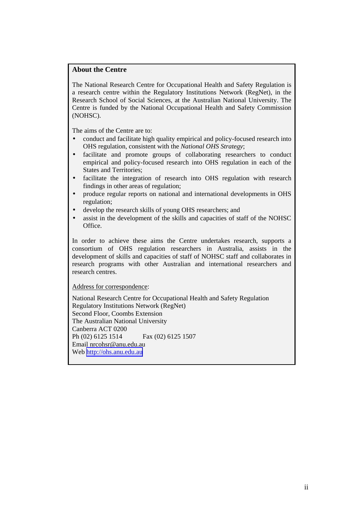### **About the Centre**

The National Research Centre for Occupational Health and Safety Regulation is a research centre within the Regulatory Institutions Network (RegNet), in the Research School of Social Sciences, at the Australian National University. The Centre is funded by the National Occupational Health and Safety Commission (NOHSC).

The aims of the Centre are to:

- conduct and facilitate high quality empirical and policy-focused research into OHS regulation, consistent with the *National OHS Strategy*;
- facilitate and promote groups of collaborating researchers to conduct empirical and policy-focused research into OHS regulation in each of the States and Territories;
- facilitate the integration of research into OHS regulation with research findings in other areas of regulation;
- produce regular reports on national and international developments in OHS regulation;
- develop the research skills of young OHS researchers; and
- assist in the development of the skills and capacities of staff of the NOHSC Office.

In order to achieve these aims the Centre undertakes research, supports a consortium of OHS regulation researchers in Australia, assists in the development of skills and capacities of staff of NOHSC staff and collaborates in research programs with other Australian and international researchers and research centres.

Address for correspondence:

National Research Centre for Occupational Health and Safety Regulation Regulatory Institutions Network (RegNet) Second Floor, Coombs Extension The Australian National University Canberra ACT 0200 Ph (02) 6125 1514 Fax (02) 6125 1507 Email nrcohsr@anu.edu.au Web [http://ohs.anu.edu.au](http://ohs.anu.edu.au/)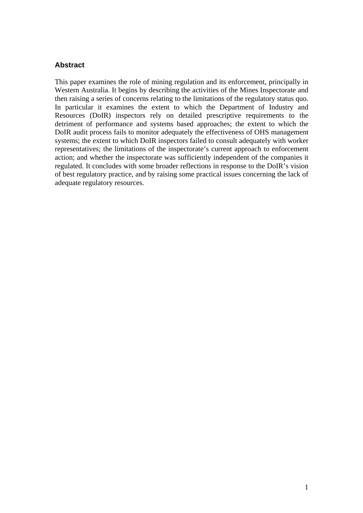## **Abstract**

This paper examines the role of mining regulation and its enforcement, principally in Western Australia. It begins by describing the activities of the Mines Inspectorate and then raising a series of concerns relating to the limitations of the regulatory status quo. In particular it examines the extent to which the Department of Industry and Resources (DoIR) inspectors rely on detailed prescriptive requirements to the detriment of performance and systems based approaches; the extent to which the DoIR audit process fails to monitor adequately the effectiveness of OHS management systems; the extent to which DoIR inspectors failed to consult adequately with worker representatives; the limitations of the inspectorate's current approach to enforcement action; and whether the inspectorate was sufficiently independent of the companies it regulated. It concludes with some broader reflections in response to the DoIR's vision of best regulatory practice, and by raising some practical issues concerning the lack of adequate regulatory resources.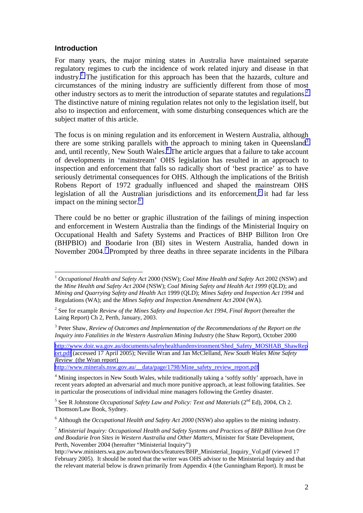### **Introduction**

 $\overline{a}$ 

For many years, the major mining states in Australia have maintained separate regulatory regimes to curb the incidence of work related injury and disease in that industry.<sup>I</sup> The justification for this approach has been that the hazards, culture and circumstances of the mining industry are sufficiently different from those of most other industry sectors as to merit the introduction of separate statutes and regulations.<sup>2</sup> The distinctive nature of mining regulation relates not only to the legislation itself, but also to inspection and enforcement, with some disturbing consequences which are the subject matter of this article.

The focus is on mining regulation and its enforcement in Western Australia, although there are some striking parallels with the approach to mining taken in Queensland<sup>3</sup> and, until recently, New South Wales.<sup>4</sup> The article argues that a failure to take account of developments in 'mainstream' OHS legislation has resulted in an approach to inspection and enforcement that falls so radically short of 'best practice' as to have seriously detrimental consequences for OHS. Although the implications of the British Robens Report of 1972 gradually influenced and shaped the mainstream OHS legislation of all the Australian jurisdictions and its enforcement,<sup>5</sup> it had far less impact on the mining sector.<sup>6</sup>

There could be no better or graphic illustration of the failings of mining inspection and enforcement in Western Australia than the findings of the Ministerial Inquiry on Occupational Health and Safety Systems and Practices of BHP Billiton Iron Ore (BHPBIO) and Boodarie Iron (BI) sites in Western Australia, handed down in November 2004.<sup>7</sup> Prompted by three deaths in three separate incidents in the Pilbara

[http://www.minerals.nsw.gov.au/\\_\\_data/page/1798/Mine\\_safety\\_review\\_report.pdf](http://www.minerals.nsw.gov.au/__data/page/1798/Mine_safety_review_report.pdf)

<sup>1</sup> *Occupational Health and Safety Act* 2000 (NSW); *Coal Mine Health and Safety* Act 2002 (NSW) and the *Mine Health and Safety Act 2004* (NSW); *Coal Mining Safety and Health Act 1999* (QLD); and *Mining and Quarrying Safety and Health* Act 1999 (QLD); *Mines Safety and Inspection Act 1994* and Regulations (WA); and the *Mines Safety and Inspection Amendment Act 2004* (WA).

<sup>2</sup> See for example *Review of the Mines Safety and Inspection Act 1994, Final Report* (hereafter the Laing Report) Ch 2, Perth, January, 2003.

<sup>&</sup>lt;sup>3</sup> Peter Shaw, *Review of Outcomes and Implementation of the Recommendations of the Report on the Inquiry into Fatalities in the Western Australian Mining Industry* (the Shaw Report), October 2000

[http://www.doir.wa.gov.au/documents/safetyhealthandenvironment/Shed\\_Safety\\_MOSHAB\\_ShawRep](http://www.doir.wa.gov.au/documents/safetyhealthandenvironment/Shed_Safety_MOSHAB_ShawReport.pdf) [ort.pdf](http://www.doir.wa.gov.au/documents/safetyhealthandenvironment/Shed_Safety_MOSHAB_ShawReport.pdf) (accessed 17 April 2005); Neville Wran and Jan McClelland, *New South Wales Mine Safety Review* (the Wran report)

<sup>&</sup>lt;sup>4</sup> Mining inspectors in New South Wales, while traditionally taking a 'softly softly' approach, have in recent years adopted an adversarial and much more punitive approach, at least following fatalities. See in particular the prosecutions of individual mine managers following the Gretley disaster.

<sup>&</sup>lt;sup>5</sup> See R Johnstone *Occupational Safety Law and Policy: Text and Materials* (2<sup>nd</sup> Ed), 2004, Ch 2. Thomson/Law Book, Sydney.

<sup>6</sup> Although the *Occupational Health and Safety Act 2000* (NSW) also applies to the mining industry.

<sup>7</sup> *Ministerial Inquiry: Occupational Health and Safety Systems and Practices of BHP Billiton Iron Ore and Boodarie Iron Sites in Western Australia and Other Matters*, Minister for State Development, Perth, November 2004 (hereafter "Ministerial Inquiry")

http://www.ministers.wa.gov.au/brown/docs/features/BHP\_Ministerial\_Inquiry\_Vol.pdf (viewed 17 February 2005). It should be noted that the writer was OHS advisor to the Ministerial Inquiry and that the relevant material below is drawn primarily from Appendix 4 (the Gunningham Report). It must be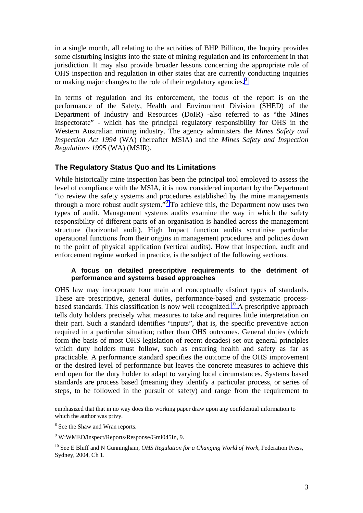in a single month, all relating to the activities of BHP Billiton, the Inquiry provides some disturbing insights into the state of mining regulation and its enforcement in that jurisdiction. It may also provide broader lessons concerning the appropriate role of OHS inspection and regulation in other states that are currently conducting inquiries or making major changes to the role of their regulatory agencies**.** 8

In terms of regulation and its enforcement, the focus of the report is on the performance of the Safety, Health and Environment Division (SHED) of the Department of Industry and Resources (DoIR) -also referred to as "the Mines Inspectorate" - which has the principal regulatory responsibility for OHS in the Western Australian mining industry. The agency administers the *Mines Safety and Inspection Act 1994* (WA) (hereafter MSIA) and the *Mines Safety and Inspection Regulations 1995* (WA) (MSIR).

## **The Regulatory Status Quo and Its Limitations**

While historically mine inspection has been the principal tool employed to assess the level of compliance with the MSIA, it is now considered important by the Department "to review the safety systems and procedures established by the mine managements through a more robust audit system."9 To achieve this, the Department now uses two types of audit. Management systems audits examine the way in which the safety responsibility of different parts of an organisation is handled across the management structure (horizontal audit). High Impact function audits scrutinise particular operational functions from their origins in management procedures and policies down to the point of physical application (vertical audits). How that inspection, audit and enforcement regime worked in practice, is the subject of the following sections.

### **A focus on detailed prescriptive requirements to the detriment of performance and systems based approaches**

OHS law may incorporate four main and conceptually distinct types of standards. These are prescriptive, general duties, performance-based and systematic processbased standards. This classification is now well recognized.<sup>10</sup> A prescriptive approach tells duty holders precisely what measures to take and requires little interpretation on their part. Such a standard identifies "inputs", that is, the specific preventive action required in a particular situation; rather than OHS outcomes. General duties (which form the basis of most OHS legislation of recent decades) set out general principles which duty holders must follow, such as ensuring health and safety as far as practicable. A performance standard specifies the outcome of the OHS improvement or the desired level of performance but leaves the concrete measures to achieve this end open for the duty holder to adapt to varying local circumstances. Systems based standards are process based (meaning they identify a particular process, or series of steps, to be followed in the pursuit of safety) and range from the requirement to

emphasized that that in no way does this working paper draw upon any confidential information to which the author was privy.

<sup>&</sup>lt;sup>8</sup> See the Shaw and Wran reports.

<sup>&</sup>lt;sup>9</sup> W:WMED/inspect/Reports/Response/Gmi045In, 9.

<sup>10</sup> See E Bluff and N Gunningham, *OHS Regulation for a Changing World of Work*, Federation Press, Sydney, 2004, Ch 1.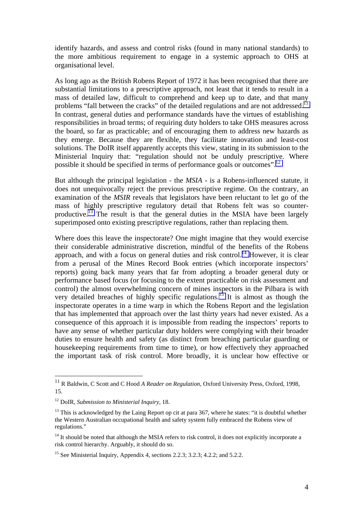identify hazards, and assess and control risks (found in many national standards) to the more ambitious requirement to engage in a systemic approach to OHS at organisational level.

As long ago as the British Robens Report of 1972 it has been recognised that there are substantial limitations to a prescriptive approach, not least that it tends to result in a mass of detailed law, difficult to comprehend and keep up to date, and that many problems "fall between the cracks" of the detailed regulations and are not addressed.<sup>11</sup> In contrast, general duties and performance standards have the virtues of establishing responsibilities in broad terms; of requiring duty holders to take OHS measures across the board, so far as practicable; and of encouraging them to address new hazards as they emerge. Because they are flexible, they facilitate innovation and least-cost solutions. The DoIR itself apparently accepts this view, stating in its submission to the Ministerial Inquiry that: "regulation should not be unduly prescriptive. Where possible it should be specified in terms of performance goals or outcomes".12

But although the principal legislation - the *MSIA -* is a Robens-influenced statute, it does not unequivocally reject the previous prescriptive regime. On the contrary, an examination of the *MSIR* reveals that legislators have been reluctant to let go of the mass of highly prescriptive regulatory detail that Robens felt was so counterproductive.<sup>13</sup> The result is that the general duties in the MSIA have been largely superimposed onto existing prescriptive regulations, rather than replacing them.

Where does this leave the inspectorate? One might imagine that they would exercise their considerable administrative discretion, mindful of the benefits of the Robens approach, and with a focus on general duties and risk control.<sup>14</sup> However, it is clear from a perusal of the Mines Record Book entries (which incorporate inspectors' reports) going back many years that far from adopting a broader general duty or performance based focus (or focusing to the extent practicable on risk assessment and control) the almost overwhelming concern of mines inspectors in the Pilbara is with very detailed breaches of highly specific regulations.<sup>15</sup> It is almost as though the inspectorate operates in a time warp in which the Robens Report and the legislation that has implemented that approach over the last thirty years had never existed. As a consequence of this approach it is impossible from reading the inspectors' reports to have any sense of whether particular duty holders were complying with their broader duties to ensure health and safety (as distinct from breaching particular guarding or housekeeping requirements from time to time), or how effectively they approached the important task of risk control. More broadly, it is unclear how effective or

<sup>11</sup> R Baldwin, C Scott and C Hood *A Reader on Regulation*, Oxford University Press, Oxford, 1998, 15.

<sup>12</sup> DoIR, *Submission to Ministerial Inquiry*, 18.

 $13$  This is acknowledged by the Laing Report op cit at para 367, where he states: "it is doubtful whether the Western Australian occupational health and safety system fully embraced the Robens view of regulations."

 $14$  It should be noted that although the MSIA refers to risk control, it does not explicitly incorporate a risk control hierarchy. Arguably, it should do so.

<sup>&</sup>lt;sup>15</sup> See Ministerial Inquiry, Appendix 4, sections 2.2.3; 3.2.3; 4.2.2; and 5.2.2.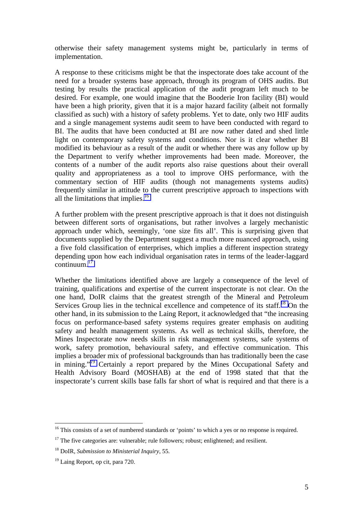otherwise their safety management systems might be, particularly in terms of implementation.

A response to these criticisms might be that the inspectorate does take account of the need for a broader systems base approach, through its program of OHS audits. But testing by results the practical application of the audit program left much to be desired. For example, one would imagine that the Booderie Iron facility (BI) would have been a high priority, given that it is a major hazard facility (albeit not formally classified as such) with a history of safety problems. Yet to date, only two HIF audits and a single management systems audit seem to have been conducted with regard to BI. The audits that have been conducted at BI are now rather dated and shed little light on contemporary safety systems and conditions. Nor is it clear whether BI modified its behaviour as a result of the audit or whether there was any follow up by the Department to verify whether improvements had been made. Moreover, the contents of a number of the audit reports also raise questions about their overall quality and appropriateness as a tool to improve OHS performance, with the commentary section of HIF audits (though not managements systems audits) frequently similar in attitude to the current prescriptive approach to inspections with all the limitations that implies.16

A further problem with the present prescriptive approach is that it does not distinguish between different sorts of organisations, but rather involves a largely mechanistic approach under which, seemingly, 'one size fits all'. This is surprising given that documents supplied by the Department suggest a much more nuanced approach, using a five fold classification of enterprises, which implies a different inspection strategy depending upon how each individual organisation rates in terms of the leader-laggard  $\text{continuum.}^{17}$ 

Whether the limitations identified above are largely a consequence of the level of training, qualifications and expertise of the current inspectorate is not clear. On the one hand, DoIR claims that the greatest strength of the Mineral and Petroleum Services Group lies in the technical excellence and competence of its staff.<sup>18</sup> On the other hand, in its submission to the Laing Report, it acknowledged that "the increasing focus on performance-based safety systems requires greater emphasis on auditing safety and health management systems. As well as technical skills, therefore, the Mines Inspectorate now needs skills in risk management systems, safe systems of work, safety promotion, behavioural safety, and effective communication. This implies a broader mix of professional backgrounds than has traditionally been the case in mining."19 Certainly a report prepared by the Mines Occupational Safety and Health Advisory Board (MOSHAB) at the end of 1998 stated that that the inspectorate's current skills base falls far short of what is required and that there is a

<sup>&</sup>lt;sup>16</sup> This consists of a set of numbered standards or 'points' to which a yes or no response is required.

 $17$  The five categories are: vulnerable; rule followers; robust; enlightened; and resilient.

<sup>18</sup> DoIR, *Submission to Ministerial Inquiry*, 55.

<sup>19</sup> Laing Report, op cit, para 720.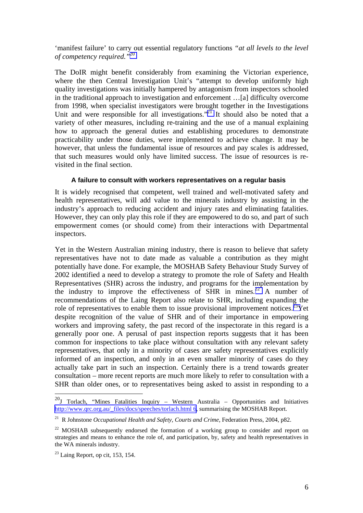'manifest failure' to carry out essential regulatory functions *"at all levels to the level of competency required."*<sup>20</sup>

The DoIR might benefit considerably from examining the Victorian experience, where the then Central Investigation Unit's "attempt to develop uniformly high quality investigations was initially hampered by antagonism from inspectors schooled in the traditional approach to investigation and enforcement …[a] difficulty overcome from 1998, when specialist investigators were brought together in the Investigations Unit and were responsible for all investigations."<sup>21</sup> It should also be noted that a variety of other measures, including re-training and the use of a manual explaining how to approach the general duties and establishing procedures to demonstrate practicability under those duties, were implemented to achieve change. It may be however, that unless the fundamental issue of resources and pay scales is addressed, that such measures would only have limited success. The issue of resources is revisited in the final section.

#### **A failure to consult with workers representatives on a regular basis**

It is widely recognised that competent, well trained and well-motivated safety and health representatives, will add value to the minerals industry by assisting in the industry's approach to reducing accident and injury rates and eliminating fatalities. However, they can only play this role if they are empowered to do so, and part of such empowerment comes (or should come) from their interactions with Departmental inspectors.

Yet in the Western Australian mining industry, there is reason to believe that safety representatives have not to date made as valuable a contribution as they might potentially have done. For example, the MOSHAB Safety Behaviour Study Survey of 2002 identified a need to develop a strategy to promote the role of Safety and Health Representatives (SHR) across the industry, and programs for the implementation by the industry to improve the effectiveness of SHR in mines.<sup>22</sup> A number of recommendations of the Laing Report also relate to SHR, including expanding the role of representatives to enable them to issue provisional improvement notices.<sup>23</sup>Yet despite recognition of the value of SHR and of their importance in empowering workers and improving safety, the past record of the inspectorate in this regard is a generally poor one. A perusal of past inspection reports suggests that it has been common for inspections to take place without consultation with any relevant safety representatives, that only in a minority of cases are safety representatives explicitly informed of an inspection, and only in an even smaller minority of cases do they actually take part in such an inspection. Certainly there is a trend towards greater consultation – more recent reports are much more likely to refer to consultation with a SHR than older ones, or to representatives being asked to assist in responding to a

 $^{20}$ J Torlach, "Mines Fatalities Inquiry – Western Australia – Opportunities and Initiatives [http://www.qrc.org.au/\\_files/docs/speeches/torlach.html 6,](http://www.qrc.org.au/_files/docs/speeches/torlach.html 6) summarising the MOSHAB Report.

<sup>21</sup> R Johnstone *Occupational Health and Safety, Courts and Crime*, Federation Press, 2004, p82.

<sup>&</sup>lt;sup>22</sup> MOSHAB subsequently endorsed the formation of a working group to consider and report on strategies and means to enhance the role of, and participation, by, safety and health representatives in the WA minerals industry.

 $23$  Laing Report, op cit, 153, 154.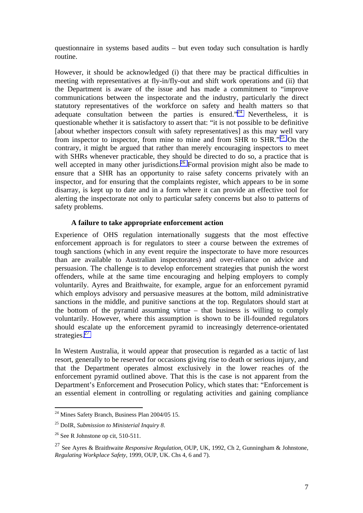questionnaire in systems based audits – but even today such consultation is hardly routine.

However, it should be acknowledged (i) that there may be practical difficulties in meeting with representatives at fly-in/fly-out and shift work operations and (ii) that the Department is aware of the issue and has made a commitment to "improve communications between the inspectorate and the industry, particularly the direct statutory representatives of the workforce on safety and health matters so that adequate consultation between the parties is ensured. $n^{24}$  Nevertheless, it is questionable whether it is satisfactory to assert that: "it is not possible to be definitive [about whether inspectors consult with safety representatives] as this may well vary from inspector to inspector, from mine to mine and from SHR to SHR."25 On the contrary, it might be argued that rather than merely encouraging inspectors to meet with SHRs whenever practicable, they should be directed to do so, a practice that is well accepted in many other jurisdictions.<sup>26</sup> Formal provision might also be made to ensure that a SHR has an opportunity to raise safety concerns privately with an inspector, and for ensuring that the complaints register, which appears to be in some disarray, is kept up to date and in a form where it can provide an effective tool for alerting the inspectorate not only to particular safety concerns but also to patterns of safety problems.

### **A failure to take appropriate enforcement action**

Experience of OHS regulation internationally suggests that the most effective enforcement approach is for regulators to steer a course between the extremes of tough sanctions (which in any event require the inspectorate to have more resources than are available to Australian inspectorates) and over-reliance on advice and persuasion. The challenge is to develop enforcement strategies that punish the worst offenders, while at the same time encouraging and helping employers to comply voluntarily. Ayres and Braithwaite, for example, argue for an enforcement pyramid which employs advisory and persuasive measures at the bottom, mild administrative sanctions in the middle, and punitive sanctions at the top. Regulators should start at the bottom of the pyramid assuming virtue – that business is willing to comply voluntarily. However, where this assumption is shown to be ill-founded regulators should escalate up the enforcement pyramid to increasingly deterrence-orientated strategies.<sup>27</sup>

In Western Australia, it would appear that prosecution is regarded as a tactic of last resort, generally to be reserved for occasions giving rise to death or serious injury, and that the Department operates almost exclusively in the lower reaches of the enforcement pyramid outlined above. That this is the case is not apparent from the Department's Enforcement and Prosecution Policy, which states that: "Enforcement is an essential element in controlling or regulating activities and gaining compliance

 $\overline{a}$  $24$  Mines Safety Branch, Business Plan 2004/05 15.

<sup>25</sup> DoIR, *Submission to Ministerial Inquiry 8*.

<sup>26</sup> See R Johnstone op cit*,* 510-511.

<sup>27</sup> See Ayres & Braithwaite *Responsive Regulation*, OUP, UK, 1992, Ch 2, Gunningham & Johnstone, *Regulating Workplace Safety*, 1999, OUP, UK. Chs 4, 6 and 7).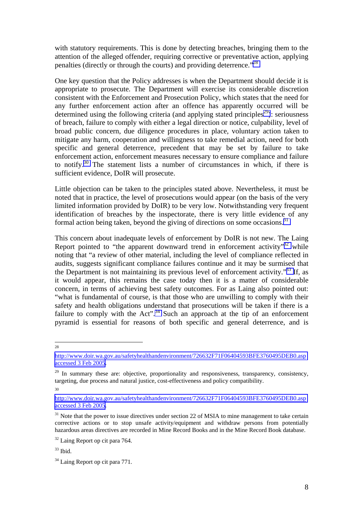with statutory requirements. This is done by detecting breaches, bringing them to the attention of the alleged offender, requiring corrective or preventative action, applying penalties (directly or through the courts) and providing deterrence."28

One key question that the Policy addresses is when the Department should decide it is appropriate to prosecute. The Department will exercise its considerable discretion consistent with the Enforcement and Prosecution Policy, which states that the need for any further enforcement action after an offence has apparently occurred will be determined using the following criteria (and applying stated principles<sup>29</sup>): seriousness of breach, failure to comply with either a legal direction or notice, culpability, level of broad public concern, due diligence procedures in place, voluntary action taken to mitigate any harm, cooperation and willingness to take remedial action, need for both specific and general deterrence, precedent that may be set by failure to take enforcement action, enforcement measures necessary to ensure compliance and failure to notify.30 The statement lists a number of circumstances in which, if there is sufficient evidence, DoIR will prosecute.

Little objection can be taken to the principles stated above. Nevertheless, it must be noted that in practice, the level of prosecutions would appear (on the basis of the very limited information provided by DoIR) to be very low. Notwithstanding very frequent identification of breaches by the inspectorate, there is very little evidence of any formal action being taken, beyond the giving of directions on some occasions.<sup>31</sup>

This concern about inadequate levels of enforcement by DoIR is not new. The Laing Report pointed to "the apparent downward trend in enforcement activity"<sup>32</sup> while noting that "a review of other material, including the level of compliance reflected in audits, suggests significant compliance failures continue and it may be surmised that the Department is not maintaining its previous level of enforcement activity.<sup> $33$ </sup> If, as it would appear, this remains the case today then it is a matter of considerable concern, in terms of achieving best safety outcomes. For as Laing also pointed out: "what is fundamental of course, is that those who are unwilling to comply with their safety and health obligations understand that prosecutions will be taken if there is a failure to comply with the Act".<sup>34</sup> Such an approach at the tip of an enforcement pyramid is essential for reasons of both specific and general deterrence, and is

<sup>28</sup>

30

[http://www.doir.wa.gov.au/safetyhealthandenvironment/726632F71F06404593BFE3760495DEB0.asp](http://www.doir.wa.gov.au/safetyhealthandenvironment/726632F71F06404593BFE3760495DEB0.asp accessed 3 Feb 2005) [accessed 3 Feb 2005](http://www.doir.wa.gov.au/safetyhealthandenvironment/726632F71F06404593BFE3760495DEB0.asp accessed 3 Feb 2005).

<sup>&</sup>lt;sup>29</sup> In summary these are: objective, proportionality and responsiveness, transparency, consistency, targeting, due process and natural justice, cost-effectiveness and policy compatibility.

[http://www.doir.wa.gov.au/safetyhealthandenvironment/726632F71F06404593BFE3760495DEB0.asp](http://www.doir.wa.gov.au/safetyhealthandenvironment/726632F71F06404593BFE3760495DEB0.asp accessed 3 Feb 2005) [accessed 3 Feb 2005](http://www.doir.wa.gov.au/safetyhealthandenvironment/726632F71F06404593BFE3760495DEB0.asp accessed 3 Feb 2005).

 $31$  Note that the power to issue directives under section 22 of MSIA to mine management to take certain corrective actions or to stop unsafe activity/equipment and withdraw persons from potentially hazardous areas directives are recorded in Mine Record Books and in the Mine Record Book database.

<sup>32</sup> Laing Report op cit para 764.

 $33$  Ibid.

<sup>&</sup>lt;sup>34</sup> Laing Report op cit para 771.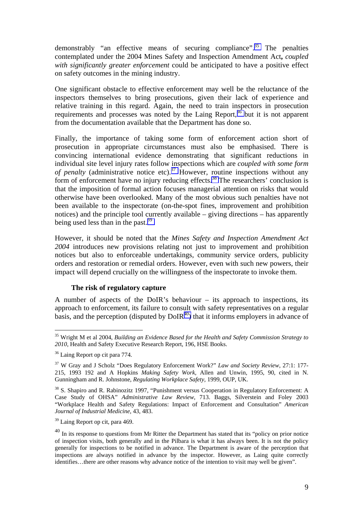demonstrably "an effective means of securing compliance".<sup>35</sup> The penalties contemplated under the 2004 Mines Safety and Inspection Amendment Act**,** *coupled with significantly greater enforcement* could be anticipated to have a positive effect on safety outcomes in the mining industry.

One significant obstacle to effective enforcement may well be the reluctance of the inspectors themselves to bring prosecutions, given their lack of experience and relative training in this regard. Again, the need to train inspectors in prosecution requirements and processes was noted by the Laing Report,<sup>36</sup> but it is not apparent from the documentation available that the Department has done so.

Finally, the importance of taking some form of enforcement action short of prosecution in appropriate circumstances must also be emphasised. There is convincing international evidence demonstrating that significant reductions in individual site level injury rates follow inspections which are *coupled with some form of penalty* (administrative notice etc).<sup>37</sup> However, routine inspections without any form of enforcement have no injury reducing effects.<sup>38</sup> The researchers' conclusion is that the imposition of formal action focuses managerial attention on risks that would otherwise have been overlooked. Many of the most obvious such penalties have not been available to the inspectorate (on-the-spot fines, improvement and prohibition notices) and the principle tool currently available – giving directions – has apparently being used less than in the past.<sup>39</sup>

However, it should be noted that the *Mines Safety and Inspection Amendment Act 2004* introduces new provisions relating not just to improvement and prohibition notices but also to enforceable undertakings, community service orders, publicity orders and restoration or remedial orders. However, even with such new powers, their impact will depend crucially on the willingness of the inspectorate to invoke them.

### **The risk of regulatory capture**

A number of aspects of the DoIR's behaviour – its approach to inspections, its approach to enforcement, its failure to consult with safety representatives on a regular basis, and the perception (disputed by  $DoIR<sup>40</sup>$ ) that it informs employers in advance of

<sup>35</sup> Wright M et al 2004, *Building an Evidence Based for the Health and Safety Commission Strategy to 2010*, Health and Safety Executive Research Report, 196, HSE Books.

<sup>36</sup> Laing Report op cit para 774.

<sup>37</sup> W Gray and J Scholz "Does Regulatory Enforcement Work?" *Law and Society Review*, 27:1: 177- 215, 1993 192 and A Hopkins *Making Safety Work,* Allen and Unwin, 1995, 90, cited in N. Gunningham and R. Johnstone, *Regulating Workplace Safety,* 1999, OUP, UK.

<sup>&</sup>lt;sup>38</sup> S. Shapiro and R. Rabinozitz 1997, "Punishment versus Cooperation in Regulatory Enforcement: A Case Study of OHSA" *Administrative Law Review*, 713. Baggs, Silverstein and Foley 2003 "Workplace Health and Safety Regulations: Impact of Enforcement and Consultation" *American Journal of Industrial Medicine*, 43, 483.

<sup>39</sup> Laing Report op cit, para 469.

<sup>&</sup>lt;sup>40</sup> In its response to questions from Mr Ritter the Department has stated that its "policy on prior notice" of inspection visits, both generally and in the Pilbara is what it has always been. It is not the policy generally for inspections to be notified in advance. The Department is aware of the perception that inspections are always notified in advance by the inspector. However, as Laing quite correctly identifies…there are other reasons why advance notice of the intention to visit may well be given".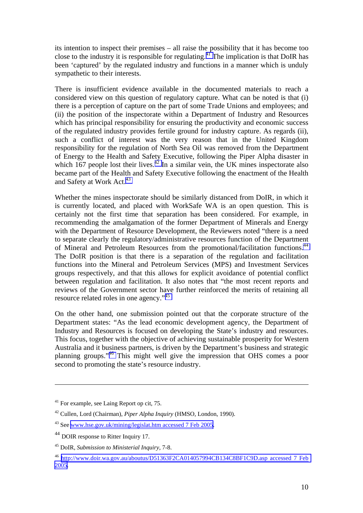its intention to inspect their premises – all raise the possibility that it has become too close to the industry it is responsible for regulating.<sup>41</sup> The implication is that DoIR has been 'captured' by the regulated industry and functions in a manner which is unduly sympathetic to their interests.

There is insufficient evidence available in the documented materials to reach a considered view on this question of regulatory capture. What can be noted is that (i) there is a perception of capture on the part of some Trade Unions and employees; and (ii) the position of the inspectorate within a Department of Industry and Resources which has principal responsibility for ensuring the productivity and economic success of the regulated industry provides fertile ground for industry capture. As regards (ii), such a conflict of interest was the very reason that in the United Kingdom responsibility for the regulation of North Sea Oil was removed from the Department of Energy to the Health and Safety Executive, following the Piper Alpha disaster in which 167 people lost their lives.<sup>42</sup> In a similar vein, the UK mines inspectorate also became part of the Health and Safety Executive following the enactment of the Health and Safety at Work Act.<sup>43</sup>

Whether the mines inspectorate should be similarly distanced from DoIR, in which it is currently located, and placed with WorkSafe WA is an open question. This is certainly not the first time that separation has been considered. For example, in recommending the amalgamation of the former Department of Minerals and Energy with the Department of Resource Development, the Reviewers noted "there is a need to separate clearly the regulatory/administrative resources function of the Department of Mineral and Petroleum Resources from the promotional/facilitation functions.44 The DoIR position is that there is a separation of the regulation and facilitation functions into the Mineral and Petroleum Services (MPS) and Investment Services groups respectively, and that this allows for explicit avoidance of potential conflict between regulation and facilitation. It also notes that "the most recent reports and reviews of the Government sector have further reinforced the merits of retaining all resource related roles in one agency."<sup>45</sup>

On the other hand, one submission pointed out that the corporate structure of the Department states: "As the lead economic development agency, the Department of Industry and Resources is focused on developing the State's industry and resources. This focus, together with the objective of achieving sustainable prosperity for Western Australia and it business partners, is driven by the Department's business and strategic planning groups."46 This might well give the impression that OHS comes a poor second to promoting the state's resource industry.

1

<sup>41</sup> For example, see Laing Report op cit, 75.

<sup>42</sup> Cullen, Lord (Chairman), *Piper Alpha Inquiry* (HMSO, London, 1990).

<sup>43</sup> See [www.hse.gov.uk/mining/legislat.htm](http://www.hse.gov.uk/mining/legislat.htm accessed 7 Feb 2005) accessed 7 Feb 2005.

<sup>44</sup> DOIR response to Ritter Inquiry 17.

<sup>45</sup> DoIR, *Submission to Ministerial Inquiry*, 7-8.

<sup>46</sup> [http://www.doir.wa.gov.au/aboutus/D51363F2CA014057994CB134C8BF1C9D.asp accessed 7 Feb](http://www.doir.wa.gov.au/aboutus/D51363F2CA014057994CB134C8BF1C9D.asp accessed 7 Feb 2005)  [2005.](http://www.doir.wa.gov.au/aboutus/D51363F2CA014057994CB134C8BF1C9D.asp accessed 7 Feb 2005)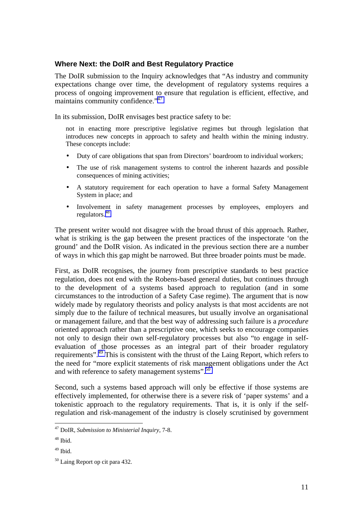## **Where Next: the DoIR and Best Regulatory Practice**

The DoIR submission to the Inquiry acknowledges that "As industry and community expectations change over time, the development of regulatory systems requires a process of ongoing improvement to ensure that regulation is efficient, effective, and maintains community confidence."<sup>47</sup>

In its submission, DoIR envisages best practice safety to be:

not in enacting more prescriptive legislative regimes but through legislation that introduces new concepts in approach to safety and health within the mining industry. These concepts include:

- Duty of care obligations that span from Directors' boardroom to individual workers;
- The use of risk management systems to control the inherent hazards and possible consequences of mining activities;
- A statutory requirement for each operation to have a formal Safety Management System in place; and
- Involvement in safety management processes by employees, employers and regulators.<sup>48</sup>

The present writer would not disagree with the broad thrust of this approach. Rather, what is striking is the gap between the present practices of the inspectorate 'on the ground' and the DoIR vision. As indicated in the previous section there are a number of ways in which this gap might be narrowed. But three broader points must be made.

First, as DoIR recognises, the journey from prescriptive standards to best practice regulation, does not end with the Robens-based general duties, but continues through to the development of a systems based approach to regulation (and in some circumstances to the introduction of a Safety Case regime). The argument that is now widely made by regulatory theorists and policy analysts is that most accidents are not simply due to the failure of technical measures, but usually involve an organisational or management failure, and that the best way of addressing such failure is a *procedure* oriented approach rather than a prescriptive one, which seeks to encourage companies not only to design their own self-regulatory processes but also "to engage in selfevaluation of those processes as an integral part of their broader regulatory requirements".<sup>49</sup> This is consistent with the thrust of the Laing Report, which refers to the need for "more explicit statements of risk management obligations under the Act and with reference to safety management systems".<sup>50</sup>

Second, such a systems based approach will only be effective if those systems are effectively implemented, for otherwise there is a severe risk of 'paper systems' and a tokenistic approach to the regulatory requirements. That is, it is only if the selfregulation and risk-management of the industry is closely scrutinised by government

<sup>47</sup> DoIR, *Submission to Ministerial Inquiry*, 7-8.

 $48$  Ibid.

 $49$  Ibid.

<sup>50</sup> Laing Report op cit para 432.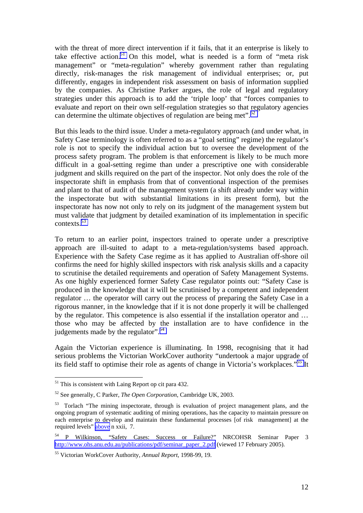with the threat of more direct intervention if it fails, that it an enterprise is likely to take effective action.<sup>51</sup> On this model, what is needed is a form of "meta risk management" or "meta-regulation" whereby government rather than regulating directly, risk-manages the risk management of individual enterprises; or, put differently, engages in independent risk assessment on basis of information supplied by the companies. As Christine Parker argues, the role of legal and regulatory strategies under this approach is to add the 'triple loop' that "forces companies to evaluate and report on their own self-regulation strategies so that regulatory agencies can determine the ultimate objectives of regulation are being met".<sup>52</sup>

But this leads to the third issue. Under a meta-regulatory approach (and under what, in Safety Case terminology is often referred to as a "goal setting" regime) the regulator's role is not to specify the individual action but to oversee the development of the process safety program. The problem is that enforcement is likely to be much more difficult in a goal-setting regime than under a prescriptive one with considerable judgment and skills required on the part of the inspector. Not only does the role of the inspectorate shift in emphasis from that of conventional inspection of the premises and plant to that of audit of the management system (a shift already under way within the inspectorate but with substantial limitations in its present form), but the inspectorate has now not only to rely on its judgment of the management system but must validate that judgment by detailed examination of its implementation in specific contexts.53

To return to an earlier point, inspectors trained to operate under a prescriptive approach are ill-suited to adapt to a meta-regulation/systems based approach. Experience with the Safety Case regime as it has applied to Australian off-shore oil confirms the need for highly skilled inspectors with risk analysis skills and a capacity to scrutinise the detailed requirements and operation of Safety Management Systems. As one highly experienced former Safety Case regulator points out: "Safety Case is produced in the knowledge that it will be scrutinised by a competent and independent regulator … the operator will carry out the process of preparing the Safety Case in a rigorous manner, in the knowledge that if it is not done properly it will be challenged by the regulator. This competence is also essential if the installation operator and … those who may be affected by the installation are to have confidence in the judgements made by the regulator".<sup>54</sup>

Again the Victorian experience is illuminating. In 1998, recognising that it had serious problems the Victorian WorkCover authority "undertook a major upgrade of its field staff to optimise their role as agents of change in Victoria's workplaces."55 It

 $51$  This is consistent with Laing Report op cit para 432.

<sup>52</sup> See generally, C Parker, *The Open Corporation*, Cambridge UK, 2003.

<sup>&</sup>lt;sup>53</sup> Torlach "The mining inspectorate, through is evaluation of project management plans, and the ongoing program of systematic auditing of mining operations, has the capacity to maintain pressure on each enterprise to develop and maintain these fundamental processes [of risk management] at the required levels" above n xxii, 7.

<sup>54</sup> P Wilkinson, "Safety Cases: Success or Failure?" NRCOHSR Seminar Paper 3 [http://www.ohs.anu.edu.au/publications/pdf/seminar\\_paper\\_2.pdf](http://www.ohs.anu.edu.au/publications/pdf/seminar_paper_2.pdf) (viewed 17 February 2005).

<sup>55</sup> Victorian WorkCover Authority, *Annual Report*, 1998-99, 19.